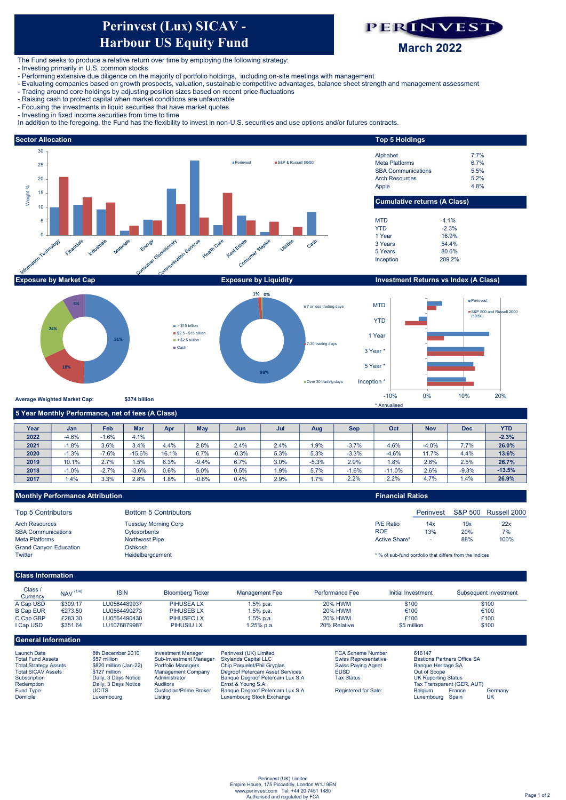# Perinvest (Lux) SICAV - Harbour US Equity Fund **Perinvest (Lux) SICAV -**<br>**Harbour US Equity Fund**<br>The Fund seeks to produce a relative return over time by employing the following strategy:<br>- Investing primarily in U.S. common stocks<br>- Ferforming exersive due diligence



The Fund seeks to produce a relative return over time by employing the following strategy:

- 
- 
- 
- 
- 
- 

In addition to the foregoing, the Fund has the flexibility to invest in non-U.S. securities and use options and/or futures contracts.





| Year | Jan     | Feb     | <b>Mar</b> | Apr   | May     | Jun     | Jul  | Aug     | <b>Sep</b> | Oct      | <b>Nov</b> | <b>Dec</b> | <b>YTD</b> |
|------|---------|---------|------------|-------|---------|---------|------|---------|------------|----------|------------|------------|------------|
| 2022 | $-4.6%$ | $-1.6%$ | 4.1%       |       |         |         |      |         |            |          |            |            | $-2.3%$    |
| 2021 | $-1.8%$ | 3.6%    | 3.4%       | 4.4%  | 2.8%    | 2.4%    | 2.4% | 1.9%    | $-3.7%$    | 4.6%     | $-4.0%$    | 7.7%       | 26.0%      |
| 2020 | $-1.3%$ | $-7.6%$ | $-15.6%$   | 16.1% | 6.7%    | $-0.3%$ | 5.3% | 5.3%    | $-3.3%$    | $-4.6%$  | 11.7%      | 4.4%       | 13.6%      |
| 2019 | 10.1%   | 2.7%    | 1.5%       | 6.3%  | $-9.4%$ | 6.7%    | 3.0% | $-5.3%$ | 2.9%       | 1.8%     | 2.6%       | 2.5%       | 26.7%      |
| 2018 | $-1.0%$ | $-2.7%$ | $-3.6%$    | 0.6%  | 5.0%    | 0.5%    | 1.9% | 5.7%    | $-1.6%$    | $-11.0%$ | 2.6%       | $-9.3%$    | $-13.5%$   |
| 2017 | 1.4%    | 3.3%    | 2.8%       | 1.8%  | $-0.6%$ | 0.4%    | 2.9% | 1.7%    | 2.2%       | 2.2%     | 4.7%       | 1.4%       | 26.9%      |

| <b>Monthly Performance Attribution</b> |                              | <b>Financial Ratios</b> |                                                         |                    |              |  |  |
|----------------------------------------|------------------------------|-------------------------|---------------------------------------------------------|--------------------|--------------|--|--|
| <b>Top 5 Contributors</b>              | <b>Bottom 5 Contributors</b> |                         | Perinvest                                               | <b>S&amp;P 500</b> | Russell 2000 |  |  |
| <b>Arch Resources</b>                  | <b>Tuesday Morning Corp</b>  | <b>P/E Ratio</b>        | 14x                                                     | 19x                | 22x          |  |  |
| <b>SBA Communications</b>              | Cytosorbents                 | <b>ROE</b>              | 13%                                                     | 20%                | 7%           |  |  |
| <b>Meta Platforms</b>                  | <b>Northwest Pipe</b>        | Active Share*           |                                                         | 88%                | 100%         |  |  |
| <b>Grand Canyon Education</b>          | Oshkosh                      |                         |                                                         |                    |              |  |  |
| Twitter                                | Heidelbergcement             |                         | * % of sub-fund portfolio that differs from the Indices |                    |              |  |  |
| <b>Class Information</b>               |                              |                         |                                                         |                    |              |  |  |

# Class / Class /<br>Currency NAV (1/4)<br>Can USD \$309.17 A Cap USD \$309.17<br>B Cap EUR €273.50 B Cap EUR €273.50<br>C Cap GBP £283.30 C Cap GBP I Cap USD \$351.64 Launch Date 8th December 2010 Investment Manager Perinvest (UK) Limited FCA Scheme Number 616147 Subsequent Investment  $\overline{$100}$ €100 ISIN LU0564490273 Initial Investment  $\overline{$100}$ £100 Performance Fee 1.5% p.a. 1.5% p.a. Bloomberg Ticker 1.25% p.a. 20% HWM 20% HWM \$100 \$5 million £100 1.5% p.a. 20% HWM 20% Relative €100 Management Fee LU1076879987 PIHUSIU LX PIHUSEA LX General Information LU0564489937 PIHUSEB LX<br>PIHUSEC LX LU0564490430

| Launch Date                  | 8th December 2010      | Investment Manader        | Perinvest (UK) Limited                              | <b>FUA Scheme Number</b> | 616147                             |        |         |
|------------------------------|------------------------|---------------------------|-----------------------------------------------------|--------------------------|------------------------------------|--------|---------|
| <b>Total Fund Assets</b>     | \$57 million           | Sub-Investment Manager    | Skylands Capital LLC<br><b>Swiss Representative</b> |                          | <b>Bastions Partners Office SA</b> |        |         |
| <b>Total Strategy Assets</b> | \$820 million (Jan-22) | <b>Portfolio Managers</b> | Chip Paguelet/Phil Gryglas                          | Swiss Paving Agent       | Bangue Heritage SA                 |        |         |
| <b>Total SICAV Assets</b>    | \$127 million          | <b>Management Company</b> | Degroof Petercam Asset Services                     | <b>EUSD</b>              | Out of Scope                       |        |         |
| Subscription                 | Daily, 3 Days Notice   | Administrator             | Banque Degroof Petercam Lux S.A                     | <b>Tax Status</b>        | UK Reporting Status                |        |         |
| Redemption                   | Daily, 3 Days Notice   | <b>Auditors</b>           | Ernst & Young S.A.                                  |                          | Tax Transparent (GER, AUT)         |        |         |
| <b>Fund Type</b>             | UCITS                  | Custodian/Prime Broker    | Banque Degroof Petercam Lux S.A                     | Registered for Sale:     | <b>Belaium</b>                     | France | Germanv |
| Domicile                     | Luxemboura             | Listina                   | Luxembourg Stock Exchange                           |                          | Luxembourg Spain                   |        | UK      |
|                              |                        |                           |                                                     |                          |                                    |        |         |
|                              |                        |                           |                                                     |                          |                                    |        |         |